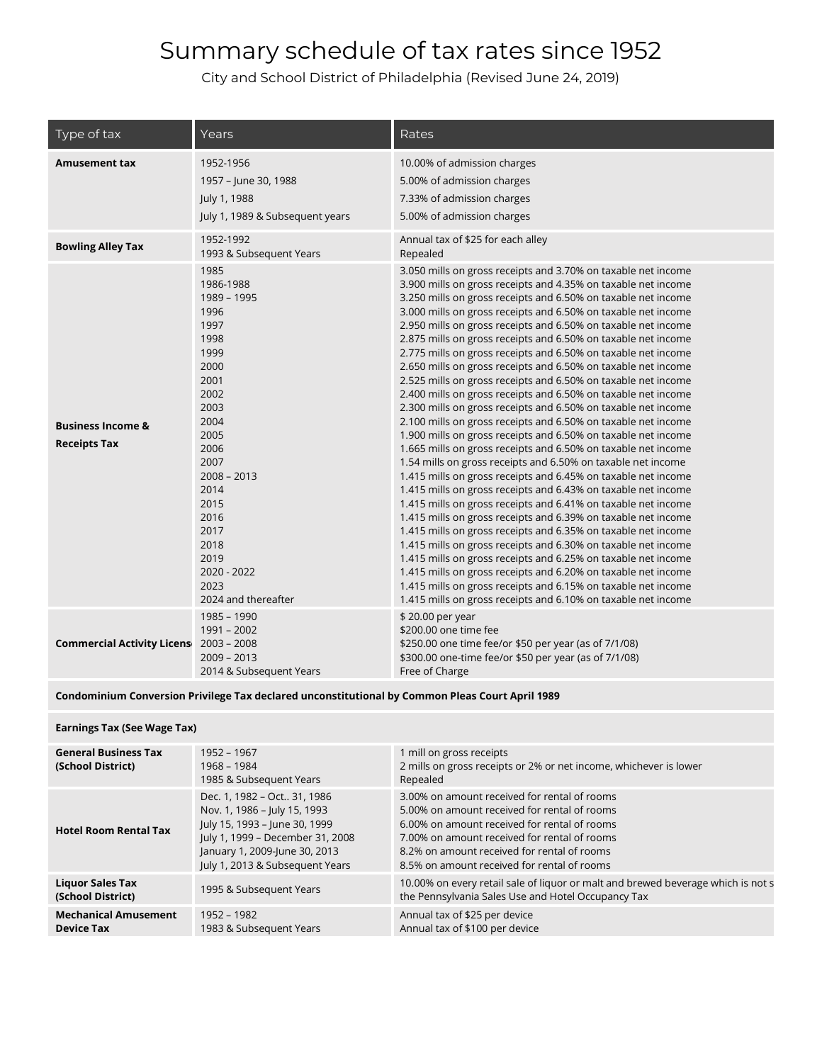City and School District of Philadelphia (Revised June 24, 2019)

| Type of tax                                         | Years                                                                                                                                                                                                                                           | Rates                                                                                                                                                                                                                                                                                                                                                                                                                                                                                                                                                                                                                                                                                                                                                                                                                                                                                                                                                                                                                                                                                                                                                                                                                                                                                                                                                                                                                                                                                                                                                                                                                                                                                |
|-----------------------------------------------------|-------------------------------------------------------------------------------------------------------------------------------------------------------------------------------------------------------------------------------------------------|--------------------------------------------------------------------------------------------------------------------------------------------------------------------------------------------------------------------------------------------------------------------------------------------------------------------------------------------------------------------------------------------------------------------------------------------------------------------------------------------------------------------------------------------------------------------------------------------------------------------------------------------------------------------------------------------------------------------------------------------------------------------------------------------------------------------------------------------------------------------------------------------------------------------------------------------------------------------------------------------------------------------------------------------------------------------------------------------------------------------------------------------------------------------------------------------------------------------------------------------------------------------------------------------------------------------------------------------------------------------------------------------------------------------------------------------------------------------------------------------------------------------------------------------------------------------------------------------------------------------------------------------------------------------------------------|
| <b>Amusement tax</b>                                | 1952-1956<br>1957 - June 30, 1988<br>July 1, 1988<br>July 1, 1989 & Subsequent years                                                                                                                                                            | 10.00% of admission charges<br>5.00% of admission charges<br>7.33% of admission charges<br>5.00% of admission charges                                                                                                                                                                                                                                                                                                                                                                                                                                                                                                                                                                                                                                                                                                                                                                                                                                                                                                                                                                                                                                                                                                                                                                                                                                                                                                                                                                                                                                                                                                                                                                |
| <b>Bowling Alley Tax</b>                            | 1952-1992<br>1993 & Subsequent Years                                                                                                                                                                                                            | Annual tax of \$25 for each alley<br>Repealed                                                                                                                                                                                                                                                                                                                                                                                                                                                                                                                                                                                                                                                                                                                                                                                                                                                                                                                                                                                                                                                                                                                                                                                                                                                                                                                                                                                                                                                                                                                                                                                                                                        |
| <b>Business Income &amp;</b><br><b>Receipts Tax</b> | 1985<br>1986-1988<br>1989 - 1995<br>1996<br>1997<br>1998<br>1999<br>2000<br>2001<br>2002<br>2003<br>2004<br>2005<br>2006<br>2007<br>$2008 - 2013$<br>2014<br>2015<br>2016<br>2017<br>2018<br>2019<br>2020 - 2022<br>2023<br>2024 and thereafter | 3.050 mills on gross receipts and 3.70% on taxable net income<br>3.900 mills on gross receipts and 4.35% on taxable net income<br>3.250 mills on gross receipts and 6.50% on taxable net income<br>3.000 mills on gross receipts and 6.50% on taxable net income<br>2.950 mills on gross receipts and 6.50% on taxable net income<br>2.875 mills on gross receipts and 6.50% on taxable net income<br>2.775 mills on gross receipts and 6.50% on taxable net income<br>2.650 mills on gross receipts and 6.50% on taxable net income<br>2.525 mills on gross receipts and 6.50% on taxable net income<br>2.400 mills on gross receipts and 6.50% on taxable net income<br>2.300 mills on gross receipts and 6.50% on taxable net income<br>2.100 mills on gross receipts and 6.50% on taxable net income<br>1.900 mills on gross receipts and 6.50% on taxable net income<br>1.665 mills on gross receipts and 6.50% on taxable net income<br>1.54 mills on gross receipts and 6.50% on taxable net income<br>1.415 mills on gross receipts and 6.45% on taxable net income<br>1.415 mills on gross receipts and 6.43% on taxable net income<br>1.415 mills on gross receipts and 6.41% on taxable net income<br>1.415 mills on gross receipts and 6.39% on taxable net income<br>1.415 mills on gross receipts and 6.35% on taxable net income<br>1.415 mills on gross receipts and 6.30% on taxable net income<br>1.415 mills on gross receipts and 6.25% on taxable net income<br>1.415 mills on gross receipts and 6.20% on taxable net income<br>1.415 mills on gross receipts and 6.15% on taxable net income<br>1.415 mills on gross receipts and 6.10% on taxable net income |
| <b>Commercial Activity Licens</b>                   | 1985 - 1990<br>$1991 - 2002$<br>$2003 - 2008$<br>$2009 - 2013$<br>2014 & Subsequent Years                                                                                                                                                       | \$20.00 per year<br>\$200.00 one time fee<br>\$250.00 one time fee/or \$50 per year (as of 7/1/08)<br>\$300.00 one-time fee/or \$50 per year (as of 7/1/08)<br>Free of Charge                                                                                                                                                                                                                                                                                                                                                                                                                                                                                                                                                                                                                                                                                                                                                                                                                                                                                                                                                                                                                                                                                                                                                                                                                                                                                                                                                                                                                                                                                                        |

#### **Condominium Conversion Privilege Tax declared unconstitutional by Common Pleas Court April 1989**

#### **Earnings Tax (See Wage Tax)**

| <b>General Business Tax</b><br>(School District) | 1952 - 1967<br>1968 - 1984<br>1985 & Subsequent Years                                                                                                                                                | 1 mill on gross receipts<br>2 mills on gross receipts or 2% or net income, whichever is lower<br>Repealed                                                                                                                                                                                  |
|--------------------------------------------------|------------------------------------------------------------------------------------------------------------------------------------------------------------------------------------------------------|--------------------------------------------------------------------------------------------------------------------------------------------------------------------------------------------------------------------------------------------------------------------------------------------|
| <b>Hotel Room Rental Tax</b>                     | Dec. 1, 1982 - Oct 31, 1986<br>Nov. 1, 1986 - July 15, 1993<br>July 15, 1993 - June 30, 1999<br>July 1, 1999 - December 31, 2008<br>January 1, 2009-June 30, 2013<br>July 1, 2013 & Subsequent Years | 3.00% on amount received for rental of rooms<br>5.00% on amount received for rental of rooms<br>6.00% on amount received for rental of rooms<br>7.00% on amount received for rental of rooms<br>8.2% on amount received for rental of rooms<br>8.5% on amount received for rental of rooms |
| <b>Liquor Sales Tax</b><br>(School District)     | 1995 & Subsequent Years                                                                                                                                                                              | 10.00% on every retail sale of liquor or malt and brewed beverage which is not s<br>the Pennsylvania Sales Use and Hotel Occupancy Tax                                                                                                                                                     |
| <b>Mechanical Amusement</b><br><b>Device Tax</b> | 1952 - 1982<br>1983 & Subsequent Years                                                                                                                                                               | Annual tax of \$25 per device<br>Annual tax of \$100 per device                                                                                                                                                                                                                            |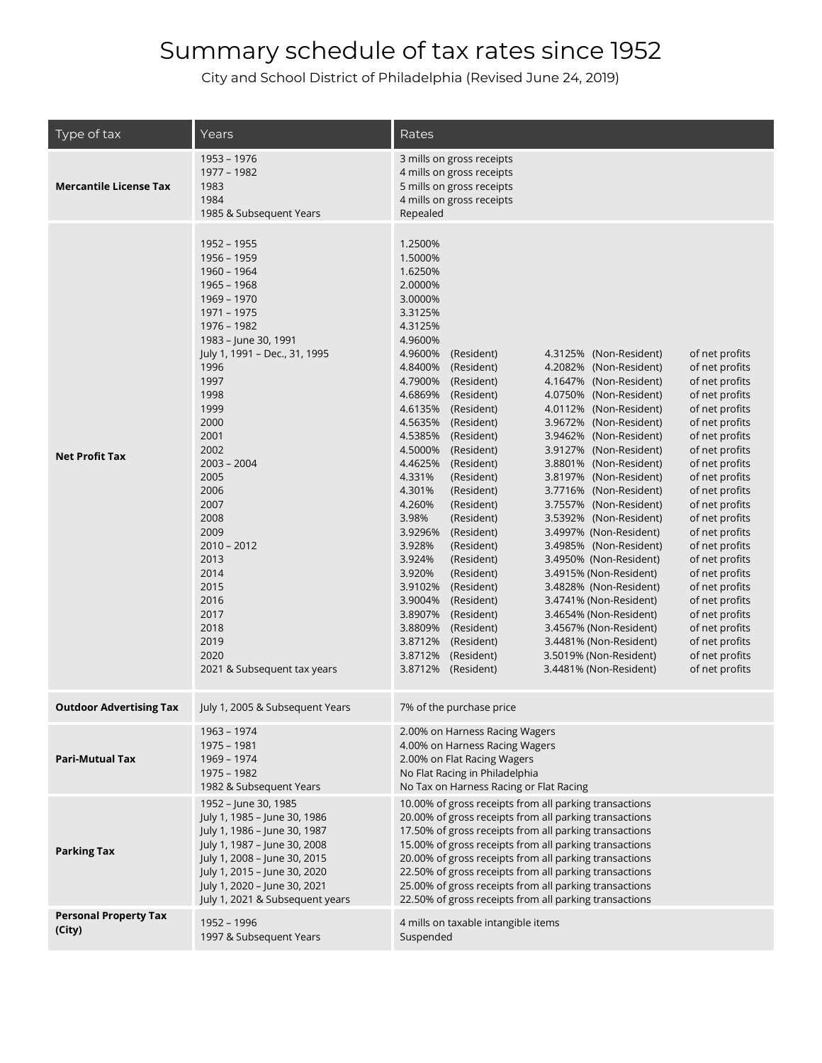| Type of tax                            | Years                                                                                                                                                                                                                                                                                                                                                                                           | Rates                                                                                                                                                                                                                                                                                                                                                                                                                                                                                                                                                                                                                                                                                                                                                                                                                                                                                                                                                                                                                                                                                                                                                                                                                                                                                                                                                                                                                                                                                                                                                                                                                                                                                                                                                                                                |  |  |  |
|----------------------------------------|-------------------------------------------------------------------------------------------------------------------------------------------------------------------------------------------------------------------------------------------------------------------------------------------------------------------------------------------------------------------------------------------------|------------------------------------------------------------------------------------------------------------------------------------------------------------------------------------------------------------------------------------------------------------------------------------------------------------------------------------------------------------------------------------------------------------------------------------------------------------------------------------------------------------------------------------------------------------------------------------------------------------------------------------------------------------------------------------------------------------------------------------------------------------------------------------------------------------------------------------------------------------------------------------------------------------------------------------------------------------------------------------------------------------------------------------------------------------------------------------------------------------------------------------------------------------------------------------------------------------------------------------------------------------------------------------------------------------------------------------------------------------------------------------------------------------------------------------------------------------------------------------------------------------------------------------------------------------------------------------------------------------------------------------------------------------------------------------------------------------------------------------------------------------------------------------------------------|--|--|--|
| <b>Mercantile License Tax</b>          | 1953 - 1976<br>1977 - 1982<br>1983<br>1984<br>1985 & Subsequent Years                                                                                                                                                                                                                                                                                                                           | 3 mills on gross receipts<br>4 mills on gross receipts<br>5 mills on gross receipts<br>4 mills on gross receipts<br>Repealed                                                                                                                                                                                                                                                                                                                                                                                                                                                                                                                                                                                                                                                                                                                                                                                                                                                                                                                                                                                                                                                                                                                                                                                                                                                                                                                                                                                                                                                                                                                                                                                                                                                                         |  |  |  |
| <b>Net Profit Tax</b>                  | 1952 - 1955<br>1956 - 1959<br>1960 - 1964<br>1965 - 1968<br>1969 - 1970<br>1971 - 1975<br>1976 - 1982<br>1983 - June 30, 1991<br>July 1, 1991 - Dec., 31, 1995<br>1996<br>1997<br>1998<br>1999<br>2000<br>2001<br>2002<br>$2003 - 2004$<br>2005<br>2006<br>2007<br>2008<br>2009<br>$2010 - 2012$<br>2013<br>2014<br>2015<br>2016<br>2017<br>2018<br>2019<br>2020<br>2021 & Subsequent tax years | 1.2500%<br>1.5000%<br>1.6250%<br>2.0000%<br>3.0000%<br>3.3125%<br>4.3125%<br>4.9600%<br>4.9600%<br>(Resident)<br>4.3125% (Non-Resident)<br>of net profits<br>4.8400%<br>(Resident)<br>4.2082% (Non-Resident)<br>of net profits<br>4.7900%<br>(Resident)<br>4.1647% (Non-Resident)<br>of net profits<br>4.6869%<br>(Resident)<br>4.0750% (Non-Resident)<br>of net profits<br>4.6135%<br>of net profits<br>(Resident)<br>4.0112% (Non-Resident)<br>of net profits<br>4.5635%<br>(Resident)<br>3.9672% (Non-Resident)<br>4.5385%<br>(Resident)<br>3.9462% (Non-Resident)<br>of net profits<br>4.5000%<br>(Resident)<br>3.9127% (Non-Resident)<br>of net profits<br>4.4625%<br>(Resident)<br>3.8801% (Non-Resident)<br>of net profits<br>of net profits<br>4.331%<br>(Resident)<br>3.8197% (Non-Resident)<br>4.301%<br>(Resident)<br>3.7716% (Non-Resident)<br>of net profits<br>4.260%<br>(Resident)<br>3.7557% (Non-Resident)<br>of net profits<br>3.98%<br>(Resident)<br>3.5392% (Non-Resident)<br>of net profits<br>3.9296%<br>(Resident)<br>3.4997% (Non-Resident)<br>of net profits<br>3.928%<br>(Resident)<br>3.4985% (Non-Resident)<br>of net profits<br>3.924%<br>(Resident)<br>3.4950% (Non-Resident)<br>of net profits<br>3.920%<br>(Resident)<br>of net profits<br>3.4915% (Non-Resident)<br>3.9102%<br>(Resident)<br>of net profits<br>3.4828% (Non-Resident)<br>of net profits<br>3.9004%<br>(Resident)<br>3.4741% (Non-Resident)<br>3.8907%<br>(Resident)<br>of net profits<br>3.4654% (Non-Resident)<br>3.8809%<br>(Resident)<br>of net profits<br>3.4567% (Non-Resident)<br>3.8712%<br>(Resident)<br>of net profits<br>3.4481% (Non-Resident)<br>3.8712%<br>(Resident)<br>of net profits<br>3.5019% (Non-Resident)<br>3.8712%<br>(Resident)<br>of net profits<br>3.4481% (Non-Resident) |  |  |  |
| <b>Outdoor Advertising Tax</b>         | July 1, 2005 & Subsequent Years                                                                                                                                                                                                                                                                                                                                                                 | 7% of the purchase price                                                                                                                                                                                                                                                                                                                                                                                                                                                                                                                                                                                                                                                                                                                                                                                                                                                                                                                                                                                                                                                                                                                                                                                                                                                                                                                                                                                                                                                                                                                                                                                                                                                                                                                                                                             |  |  |  |
| <b>Pari-Mutual Tax</b>                 | 1963 - 1974<br>1975 - 1981<br>1969 - 1974<br>1975 - 1982<br>1982 & Subsequent Years                                                                                                                                                                                                                                                                                                             | 2.00% on Harness Racing Wagers<br>4.00% on Harness Racing Wagers<br>2.00% on Flat Racing Wagers<br>No Flat Racing in Philadelphia<br>No Tax on Harness Racing or Flat Racing                                                                                                                                                                                                                                                                                                                                                                                                                                                                                                                                                                                                                                                                                                                                                                                                                                                                                                                                                                                                                                                                                                                                                                                                                                                                                                                                                                                                                                                                                                                                                                                                                         |  |  |  |
| <b>Parking Tax</b>                     | 1952 - June 30, 1985<br>July 1, 1985 - June 30, 1986<br>July 1, 1986 - June 30, 1987<br>July 1, 1987 - June 30, 2008<br>July 1, 2008 - June 30, 2015<br>July 1, 2015 - June 30, 2020<br>July 1, 2020 - June 30, 2021<br>July 1, 2021 & Subsequent years                                                                                                                                         | 10.00% of gross receipts from all parking transactions<br>20.00% of gross receipts from all parking transactions<br>17.50% of gross receipts from all parking transactions<br>15.00% of gross receipts from all parking transactions<br>20.00% of gross receipts from all parking transactions<br>22.50% of gross receipts from all parking transactions<br>25.00% of gross receipts from all parking transactions<br>22.50% of gross receipts from all parking transactions                                                                                                                                                                                                                                                                                                                                                                                                                                                                                                                                                                                                                                                                                                                                                                                                                                                                                                                                                                                                                                                                                                                                                                                                                                                                                                                         |  |  |  |
| <b>Personal Property Tax</b><br>(City) | 1952 - 1996<br>1997 & Subsequent Years                                                                                                                                                                                                                                                                                                                                                          | 4 mills on taxable intangible items<br>Suspended                                                                                                                                                                                                                                                                                                                                                                                                                                                                                                                                                                                                                                                                                                                                                                                                                                                                                                                                                                                                                                                                                                                                                                                                                                                                                                                                                                                                                                                                                                                                                                                                                                                                                                                                                     |  |  |  |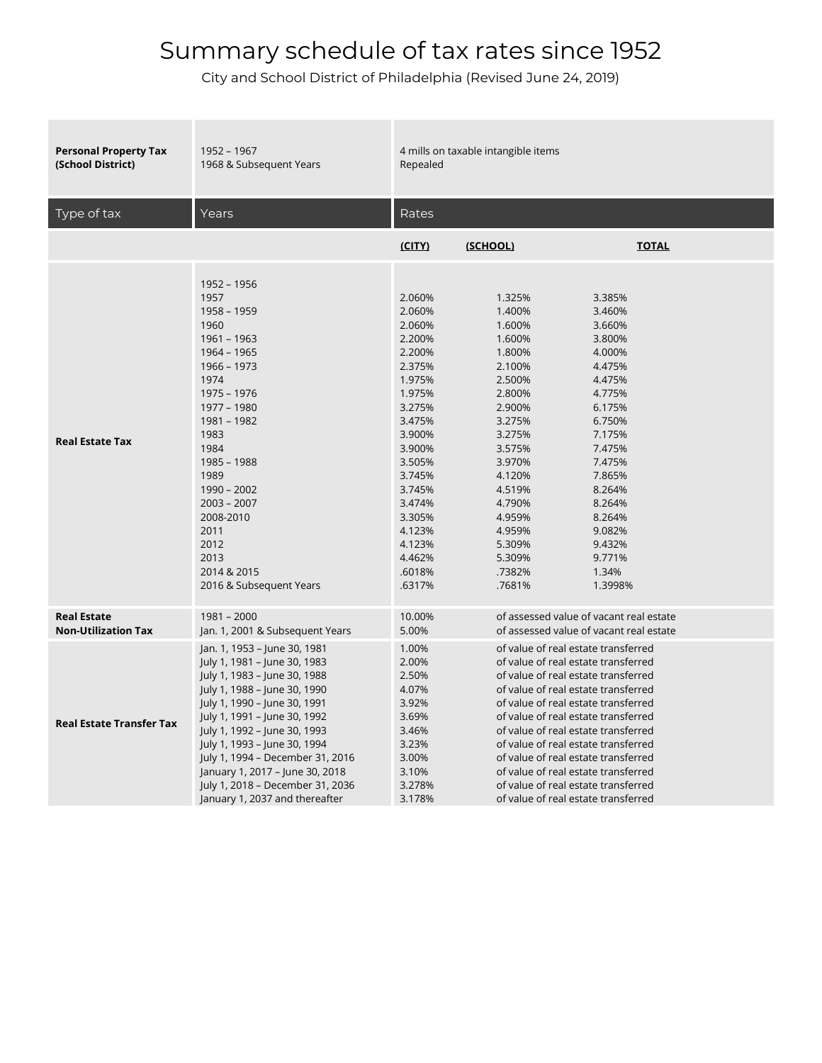| <b>Personal Property Tax</b>    | 1952 - 1967                                                                                                                                                                                                                                                                                            | 4 mills on taxable intangible items                                                                                                                                                                                      |                                                                                                                                                                                                                          |                                                                                                                                                                                                                          |  |
|---------------------------------|--------------------------------------------------------------------------------------------------------------------------------------------------------------------------------------------------------------------------------------------------------------------------------------------------------|--------------------------------------------------------------------------------------------------------------------------------------------------------------------------------------------------------------------------|--------------------------------------------------------------------------------------------------------------------------------------------------------------------------------------------------------------------------|--------------------------------------------------------------------------------------------------------------------------------------------------------------------------------------------------------------------------|--|
| (School District)               | 1968 & Subsequent Years                                                                                                                                                                                                                                                                                | Repealed                                                                                                                                                                                                                 |                                                                                                                                                                                                                          |                                                                                                                                                                                                                          |  |
| Type of tax                     | Years                                                                                                                                                                                                                                                                                                  | Rates                                                                                                                                                                                                                    |                                                                                                                                                                                                                          |                                                                                                                                                                                                                          |  |
|                                 |                                                                                                                                                                                                                                                                                                        | (CITY)                                                                                                                                                                                                                   | (SCHOOL)                                                                                                                                                                                                                 | <b>TOTAL</b>                                                                                                                                                                                                             |  |
| <b>Real Estate Tax</b>          | 1952 - 1956<br>1957<br>1958 - 1959<br>1960<br>$1961 - 1963$<br>1964 - 1965<br>1966 - 1973<br>1974<br>1975 - 1976<br>1977 - 1980<br>1981 - 1982<br>1983<br>1984<br>1985 - 1988<br>1989<br>$1990 - 2002$<br>$2003 - 2007$<br>2008-2010<br>2011<br>2012<br>2013<br>2014 & 2015<br>2016 & Subsequent Years | 2.060%<br>2.060%<br>2.060%<br>2.200%<br>2.200%<br>2.375%<br>1.975%<br>1.975%<br>3.275%<br>3.475%<br>3.900%<br>3.900%<br>3.505%<br>3.745%<br>3.745%<br>3.474%<br>3.305%<br>4.123%<br>4.123%<br>4.462%<br>.6018%<br>.6317% | 1.325%<br>1.400%<br>1.600%<br>1.600%<br>1.800%<br>2.100%<br>2.500%<br>2.800%<br>2.900%<br>3.275%<br>3.275%<br>3.575%<br>3.970%<br>4.120%<br>4.519%<br>4.790%<br>4.959%<br>4.959%<br>5.309%<br>5.309%<br>.7382%<br>.7681% | 3.385%<br>3.460%<br>3.660%<br>3.800%<br>4.000%<br>4.475%<br>4.475%<br>4.775%<br>6.175%<br>6.750%<br>7.175%<br>7.475%<br>7.475%<br>7.865%<br>8.264%<br>8.264%<br>8.264%<br>9.082%<br>9.432%<br>9.771%<br>1.34%<br>1.3998% |  |
| <b>Real Estate</b>              | $1981 - 2000$                                                                                                                                                                                                                                                                                          | 10.00%                                                                                                                                                                                                                   |                                                                                                                                                                                                                          | of assessed value of vacant real estate                                                                                                                                                                                  |  |
| <b>Non-Utilization Tax</b>      | Jan. 1, 2001 & Subsequent Years                                                                                                                                                                                                                                                                        | 5.00%                                                                                                                                                                                                                    |                                                                                                                                                                                                                          | of assessed value of vacant real estate                                                                                                                                                                                  |  |
| <b>Real Estate Transfer Tax</b> | Jan. 1, 1953 – June 30, 1981                                                                                                                                                                                                                                                                           | 1.00%                                                                                                                                                                                                                    | of value of real estate transferred                                                                                                                                                                                      |                                                                                                                                                                                                                          |  |
|                                 | July 1, 1981 – June 30, 1983                                                                                                                                                                                                                                                                           | 2.00%                                                                                                                                                                                                                    | of value of real estate transferred                                                                                                                                                                                      |                                                                                                                                                                                                                          |  |
|                                 | July 1, 1983 - June 30, 1988                                                                                                                                                                                                                                                                           | 2.50%                                                                                                                                                                                                                    | of value of real estate transferred                                                                                                                                                                                      |                                                                                                                                                                                                                          |  |
|                                 | July 1, 1988 – June 30, 1990                                                                                                                                                                                                                                                                           | 4.07%                                                                                                                                                                                                                    | of value of real estate transferred                                                                                                                                                                                      |                                                                                                                                                                                                                          |  |
|                                 | July 1, 1990 – June 30, 1991                                                                                                                                                                                                                                                                           | 3.92%                                                                                                                                                                                                                    | of value of real estate transferred                                                                                                                                                                                      |                                                                                                                                                                                                                          |  |
|                                 | July 1, 1991 - June 30, 1992                                                                                                                                                                                                                                                                           | 3.69%                                                                                                                                                                                                                    | of value of real estate transferred                                                                                                                                                                                      |                                                                                                                                                                                                                          |  |
|                                 | July 1, 1992 – June 30, 1993                                                                                                                                                                                                                                                                           | 3.46%                                                                                                                                                                                                                    | of value of real estate transferred                                                                                                                                                                                      |                                                                                                                                                                                                                          |  |
|                                 | July 1, 1993 – June 30, 1994                                                                                                                                                                                                                                                                           | 3.23%                                                                                                                                                                                                                    | of value of real estate transferred                                                                                                                                                                                      |                                                                                                                                                                                                                          |  |
|                                 | July 1, 1994 - December 31, 2016                                                                                                                                                                                                                                                                       | 3.00%                                                                                                                                                                                                                    | of value of real estate transferred                                                                                                                                                                                      |                                                                                                                                                                                                                          |  |
|                                 | January 1, 2017 - June 30, 2018                                                                                                                                                                                                                                                                        | 3.10%                                                                                                                                                                                                                    | of value of real estate transferred                                                                                                                                                                                      |                                                                                                                                                                                                                          |  |
|                                 | July 1, 2018 - December 31, 2036                                                                                                                                                                                                                                                                       | 3.278%                                                                                                                                                                                                                   | of value of real estate transferred                                                                                                                                                                                      |                                                                                                                                                                                                                          |  |
|                                 | January 1, 2037 and thereafter                                                                                                                                                                                                                                                                         | 3.178%                                                                                                                                                                                                                   | of value of real estate transferred                                                                                                                                                                                      |                                                                                                                                                                                                                          |  |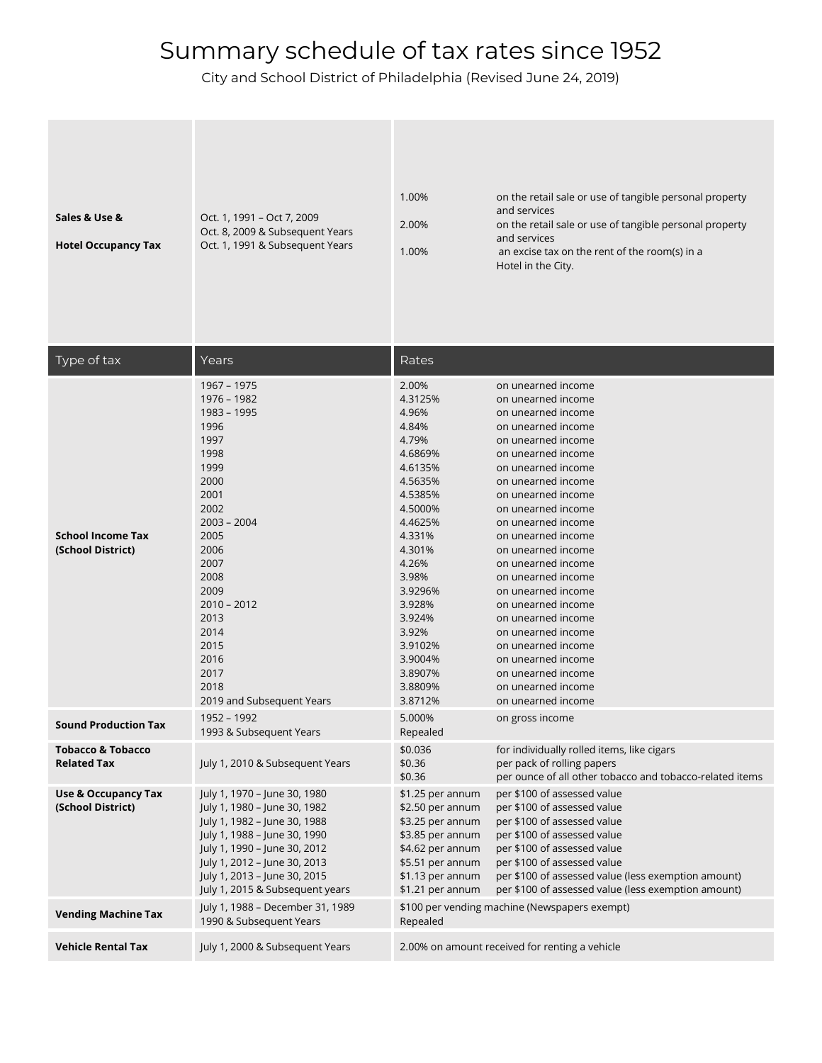| Sales & Use &<br><b>Hotel Occupancy Tax</b>         | Oct. 1, 1991 - Oct 7, 2009<br>Oct. 8, 2009 & Subsequent Years<br>Oct. 1, 1991 & Subsequent Years                                                                                                                                                                | 1.00%<br>2.00%<br>1.00%                                                                                                                                                                                                                            | on the retail sale or use of tangible personal property<br>and services<br>on the retail sale or use of tangible personal property<br>and services<br>an excise tax on the rent of the room(s) in a<br>Hotel in the City.                                                                                                                                                                                                                                                                                                                    |
|-----------------------------------------------------|-----------------------------------------------------------------------------------------------------------------------------------------------------------------------------------------------------------------------------------------------------------------|----------------------------------------------------------------------------------------------------------------------------------------------------------------------------------------------------------------------------------------------------|----------------------------------------------------------------------------------------------------------------------------------------------------------------------------------------------------------------------------------------------------------------------------------------------------------------------------------------------------------------------------------------------------------------------------------------------------------------------------------------------------------------------------------------------|
| Type of tax                                         | Years                                                                                                                                                                                                                                                           | Rates                                                                                                                                                                                                                                              |                                                                                                                                                                                                                                                                                                                                                                                                                                                                                                                                              |
| <b>School Income Tax</b><br>(School District)       | 1967 - 1975<br>1976 - 1982<br>1983 - 1995<br>1996<br>1997<br>1998<br>1999<br>2000<br>2001<br>2002<br>$2003 - 2004$<br>2005<br>2006<br>2007<br>2008<br>2009<br>$2010 - 2012$<br>2013<br>2014<br>2015<br>2016<br>2017<br>2018<br>2019 and Subsequent Years        | 2.00%<br>4.3125%<br>4.96%<br>4.84%<br>4.79%<br>4.6869%<br>4.6135%<br>4.5635%<br>4.5385%<br>4.5000%<br>4.4625%<br>4.331%<br>4.301%<br>4.26%<br>3.98%<br>3.9296%<br>3.928%<br>3.924%<br>3.92%<br>3.9102%<br>3.9004%<br>3.8907%<br>3.8809%<br>3.8712% | on unearned income<br>on unearned income<br>on unearned income<br>on unearned income<br>on unearned income<br>on unearned income<br>on unearned income<br>on unearned income<br>on unearned income<br>on unearned income<br>on unearned income<br>on unearned income<br>on unearned income<br>on unearned income<br>on unearned income<br>on unearned income<br>on unearned income<br>on unearned income<br>on unearned income<br>on unearned income<br>on unearned income<br>on unearned income<br>on unearned income<br>on unearned income |
| <b>Sound Production Tax</b>                         | 1952 - 1992<br>1993 & Subsequent Years                                                                                                                                                                                                                          | 5.000%<br>Repealed                                                                                                                                                                                                                                 | on gross income                                                                                                                                                                                                                                                                                                                                                                                                                                                                                                                              |
| <b>Tobacco &amp; Tobacco</b><br><b>Related Tax</b>  | July 1, 2010 & Subsequent Years                                                                                                                                                                                                                                 | \$0.036<br>\$0.36<br>\$0.36                                                                                                                                                                                                                        | for individually rolled items, like cigars<br>per pack of rolling papers<br>per ounce of all other tobacco and tobacco-related items                                                                                                                                                                                                                                                                                                                                                                                                         |
| <b>Use &amp; Occupancy Tax</b><br>(School District) | July 1, 1970 - June 30, 1980<br>July 1, 1980 - June 30, 1982<br>July 1, 1982 - June 30, 1988<br>July 1, 1988 - June 30, 1990<br>July 1, 1990 - June 30, 2012<br>July 1, 2012 - June 30, 2013<br>July 1, 2013 - June 30, 2015<br>July 1, 2015 & Subsequent years | \$1.25 per annum<br>\$2.50 per annum<br>\$3.25 per annum<br>\$3.85 per annum<br>\$4.62 per annum<br>\$5.51 per annum<br>\$1.13 per annum<br>\$1.21 per annum                                                                                       | per \$100 of assessed value<br>per \$100 of assessed value<br>per \$100 of assessed value<br>per \$100 of assessed value<br>per \$100 of assessed value<br>per \$100 of assessed value<br>per \$100 of assessed value (less exemption amount)<br>per \$100 of assessed value (less exemption amount)                                                                                                                                                                                                                                         |
| <b>Vending Machine Tax</b>                          | July 1, 1988 - December 31, 1989<br>1990 & Subsequent Years                                                                                                                                                                                                     | Repealed                                                                                                                                                                                                                                           | \$100 per vending machine (Newspapers exempt)                                                                                                                                                                                                                                                                                                                                                                                                                                                                                                |
| <b>Vehicle Rental Tax</b>                           | July 1, 2000 & Subsequent Years                                                                                                                                                                                                                                 |                                                                                                                                                                                                                                                    | 2.00% on amount received for renting a vehicle                                                                                                                                                                                                                                                                                                                                                                                                                                                                                               |